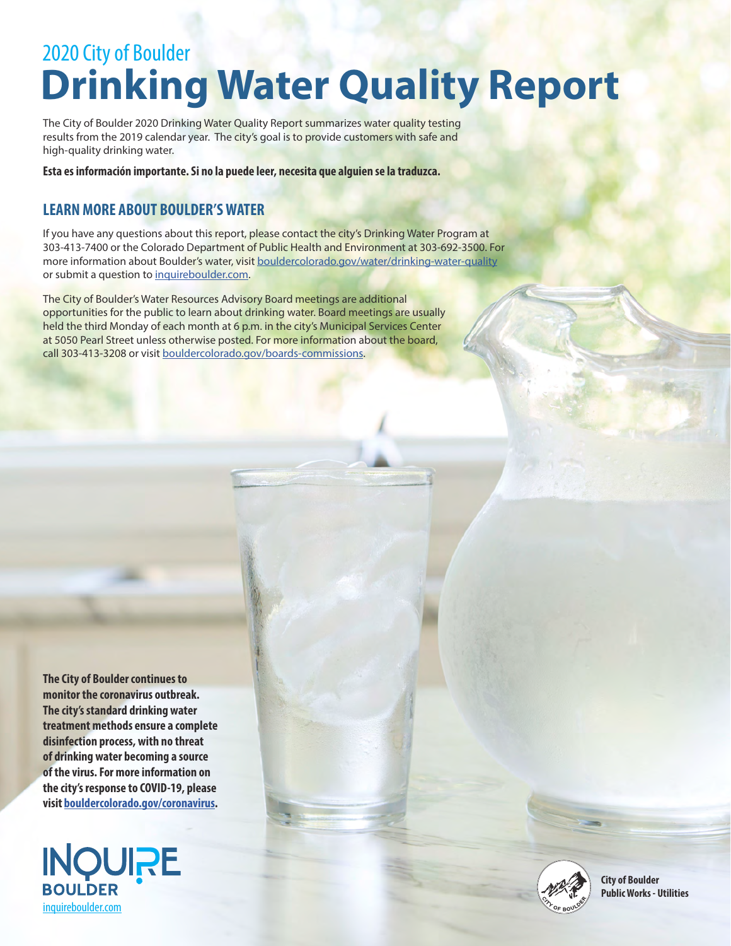# 2020 City of Boulder **Drinking Water Quality Report**

The City of Boulder 2020 Drinking Water Quality Report summarizes water quality testing results from the 2019 calendar year. The city's goal is to provide customers with safe and high-quality drinking water.

**Esta es información importante. Si no la puede leer, necesita que alguien se la traduzca.**

#### **LEARN MORE ABOUT BOULDER'S WATER**

If you have any questions about this report, please contact the city's Drinking Water Program at 303-413-7400 or the Colorado Department of Public Health and Environment at 303-692-3500. For more information about Boulder's water, visit [bouldercolorado.gov/water/drinking-water-quality](http://bouldercolorado.gov/water/drinking-water-quality) or submit a question to [inquireboulder.com](http://inquireboulder.com).

The City of Boulder's Water Resources Advisory Board meetings are additional opportunities for the public to learn about drinking water. Board meetings are usually held the third Monday of each month at 6 p.m. in the city's Municipal Services Center at 5050 Pearl Street unless otherwise posted. For more information about the board, call 303-413-3208 or visit [bouldercolorado.gov/boards-commissions](http://bouldercolorado.gov/boards-commissions).

**The City of Boulder continues to monitor the coronavirus outbreak. The city's standard drinking water treatment methods ensure a complete disinfection process, with no threat of drinking water becoming a source of the virus. For more information on the city's response to COVID-19, please visit [bouldercolorado.gov/coronavirus.](http://bouldercolorado.gov/coronavirus)**



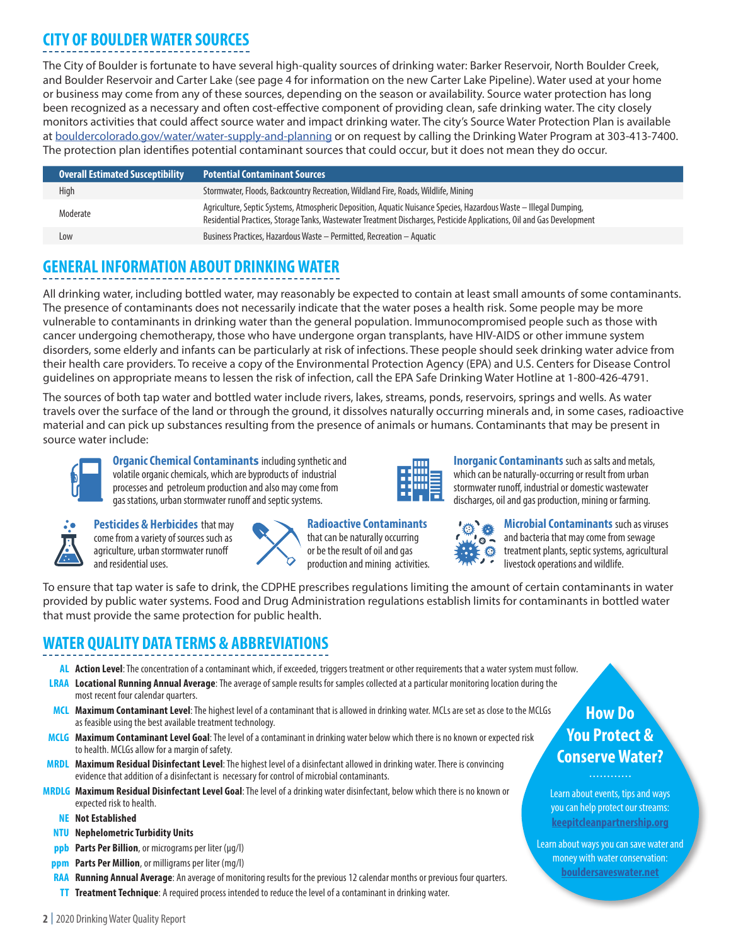## **CITY OF BOULDER WATER SOURCES**

The City of Boulder is fortunate to have several high-quality sources of drinking water: Barker Reservoir, North Boulder Creek, and Boulder Reservoir and Carter Lake (see page 4 for information on the new Carter Lake Pipeline). Water used at your home or business may come from any of these sources, depending on the season or availability. Source water protection has long been recognized as a necessary and often cost-effective component of providing clean, safe drinking water. The city closely monitors activities that could affect source water and impact drinking water. The city's Source Water Protection Plan is available at [bouldercolorado.gov/water/water-supply-and-planning](http://bouldercolorado.gov/water/water-supply-and-planning) or on request by calling the Drinking Water Program at 303-413-7400. The protection plan identifies potential contaminant sources that could occur, but it does not mean they do occur.

| <b>Overall Estimated Susceptibility</b> | <b>Potential Contaminant Sources</b>                                                                                                                                                                                                        |
|-----------------------------------------|---------------------------------------------------------------------------------------------------------------------------------------------------------------------------------------------------------------------------------------------|
| High                                    | Stormwater, Floods, Backcountry Recreation, Wildland Fire, Roads, Wildlife, Mining                                                                                                                                                          |
| Moderate                                | Agriculture, Septic Systems, Atmospheric Deposition, Aquatic Nuisance Species, Hazardous Waste – Illegal Dumping,<br>Residential Practices, Storage Tanks, Wastewater Treatment Discharges, Pesticide Applications, Oil and Gas Development |
| Low                                     | Business Practices, Hazardous Waste - Permitted, Recreation - Aquatic                                                                                                                                                                       |

## **GENERAL INFORMATION ABOUT DRINKING WATER**

All drinking water, including bottled water, may reasonably be expected to contain at least small amounts of some contaminants. The presence of contaminants does not necessarily indicate that the water poses a health risk. Some people may be more vulnerable to contaminants in drinking water than the general population. Immunocompromised people such as those with cancer undergoing chemotherapy, those who have undergone organ transplants, have HIV-AIDS or other immune system disorders, some elderly and infants can be particularly at risk of infections. These people should seek drinking water advice from their health care providers. To receive a copy of the Environmental Protection Agency (EPA) and U.S. Centers for Disease Control guidelines on appropriate means to lessen the risk of infection, call the EPA Safe Drinking Water Hotline at 1-800-426-4791.

The sources of both tap water and bottled water include rivers, lakes, streams, ponds, reservoirs, springs and wells. As water travels over the surface of the land or through the ground, it dissolves naturally occurring minerals and, in some cases, radioactive material and can pick up substances resulting from the presence of animals or humans. Contaminants that may be present in source water include:



**Organic Chemical Contaminants** including synthetic and volatile organic chemicals, which are byproducts of industrial processes and petroleum production and also may come from gas stations, urban stormwater runoff and septic systems.



**Pesticides & Herbicides** that may come from a variety of sources such as agriculture, urban stormwater runoff and residential uses.

| ŀ |
|---|
| t |
| C |
| r |

**Radioactive Contaminants** that can be naturally occurring or be the result of oil and gas production and mining activities.



stormwater runoff, industrial or domestic wastewater discharges, oil and gas production, mining or farming. 機

**Inorganic Contaminants** such as salts and metals, which can be naturally-occurring or result from urban



**Microbial Contaminants** such as viruses and bacteria that may come from sewage treatment plants, septic systems, agricultural livestock operations and wildlife.

To ensure that tap water is safe to drink, the CDPHE prescribes regulations limiting the amount of certain contaminants in water provided by public water systems. Food and Drug Administration regulations establish limits for contaminants in bottled water that must provide the same protection for public health.

## **WATER QUALITY DATA TERMS & ABBREVIATIONS**

- **AL Action Level**:The concentration of a contaminant which, if exceeded, triggers treatment or other requirements that a water system must follow.
- **LRAA Locational Running Annual Average**: The average of sample results for samples collected at a particular monitoring location during the most recent four calendar quarters.
- **MCL Maximum Contaminant Level**: The highest level of a contaminant that is allowed in drinking water. MCLs are set as close to the MCLGs as feasible using the best available treatment technology.
- **MCLG Maximum Contaminant Level Goal**: The level of a contaminant in drinking water below which there is no known or expected risk to health. MCLGs allow for a margin of safety.
- **MRDL Maximum Residual Disinfectant Level**: The highest level of a disinfectant allowed in drinking water. There is convincing evidence that addition of a disinfectant is necessary for control of microbial contaminants.
- **MRDLG Maximum Residual Disinfectant Level Goal**: The level of a drinking water disinfectant, below which there is no known or expected risk to health.
	- **NE Not Established**
	- **NTU Nephelometric Turbidity Units**
	- **ppb Parts Per Billion**, or micrograms per liter (µg/l)
	- **ppm Parts Per Million**, or milligrams per liter (mg/l)
	- **RAA Running Annual Average**: An average of monitoring results for the previous 12 calendar months or previous four quarters.
	- **TT Treatment Technique**: A required process intended to reduce the level of a contaminant in drinking water.

## **How Do You Protect & Conserve Water?**

. . . . . . . . . . . .

Learn about events, tips and ways you can help protect our streams: **[keepitcleanpartnership.org](http://www.KeepItCleanPartnership.org)**

Learn about ways you can save water and money with water conservation: **[bouldersaveswater.net](http://www.bouldersaveswater.net)**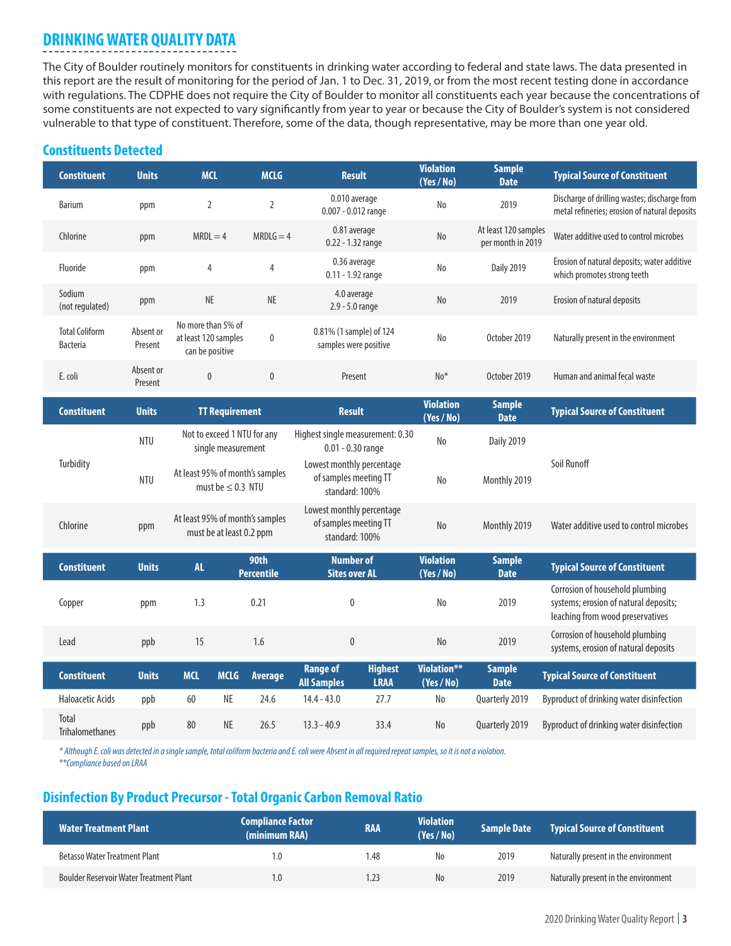## **DRINKING WATER QUALITY DATA**

The City of Boulder routinely monitors for constituents in drinking water according to federal and state laws. The data presented in this report are the result of monitoring for the period of Jan. 1 to Dec. 31, 2019, or from the most recent testing done in accordance with regulations. The CDPHE does not require the City of Boulder to monitor all constituents each year because the concentrations of some constituents are not expected to vary significantly from year to year or because the City of Boulder's system is not considered vulnerable to that type of constituent. Therefore, some of the data, though representative, may be more than one year old.

#### **Constituents Detected**

| <b>Constituent</b>                       | <b>Units</b>                                                    | <b>MCL</b>                                                    | <b>MCLG</b>                                               | <b>Result</b>                                                        |                                                                      | <b>Violation</b><br>(Yes / No)      | <b>Sample</b><br><b>Date</b>              | <b>Typical Source of Constituent</b>                                                                         |
|------------------------------------------|-----------------------------------------------------------------|---------------------------------------------------------------|-----------------------------------------------------------|----------------------------------------------------------------------|----------------------------------------------------------------------|-------------------------------------|-------------------------------------------|--------------------------------------------------------------------------------------------------------------|
| <b>Barium</b>                            | ppm                                                             | $\overline{2}$                                                | 2                                                         | 0.010 average<br>0.007 - 0.012 range                                 |                                                                      | N <sub>o</sub>                      | 2019                                      | Discharge of drilling wastes; discharge from<br>metal refineries; erosion of natural deposits                |
| Chlorine                                 | ppm                                                             | $MRDL = 4$                                                    | $MRDLG = 4$                                               | 0.81 average<br>0.22 - 1.32 range                                    |                                                                      | No                                  | At least 120 samples<br>per month in 2019 | Water additive used to control microbes                                                                      |
| Fluoride                                 | ppm                                                             | 4                                                             | $\overline{4}$                                            | 0.36 average<br>0.11 - 1.92 range                                    |                                                                      | No                                  | <b>Daily 2019</b>                         | Erosion of natural deposits; water additive<br>which promotes strong teeth                                   |
| Sodium<br>(not regulated)                | ppm                                                             | NE                                                            | NE                                                        | 4.0 average<br>2.9 - 5.0 range                                       |                                                                      | No                                  | 2019                                      | Erosion of natural deposits                                                                                  |
| <b>Total Coliform</b><br><b>Bacteria</b> | Absent or<br>Present                                            | No more than 5% of<br>at least 120 samples<br>can be positive | $\mathbf{0}$                                              | 0.81% (1 sample) of 124<br>samples were positive                     |                                                                      | No                                  | October 2019                              | Naturally present in the environment                                                                         |
| E. coli                                  | Absent or<br>Present                                            | $\pmb{0}$                                                     | $\pmb{0}$                                                 | Present                                                              |                                                                      | $No*$                               | October 2019                              | Human and animal fecal waste                                                                                 |
| <b>Constituent</b>                       | <b>Units</b>                                                    | <b>TT Requirement</b>                                         |                                                           | <b>Result</b>                                                        |                                                                      | <b>Violation</b><br>(Yes / No)      | <b>Sample</b><br><b>Date</b>              | <b>Typical Source of Constituent</b>                                                                         |
|                                          | Not to exceed 1 NTU for any<br><b>NTU</b><br>single measurement |                                                               |                                                           | Highest single measurement: 0.30<br>$0.01 - 0.30$ range              |                                                                      | N <sub>o</sub><br><b>Daily 2019</b> |                                           |                                                                                                              |
| Turbidity                                | <b>NTU</b>                                                      |                                                               | At least 95% of month's samples<br>must be $\leq$ 0.3 NTU |                                                                      | Lowest monthly percentage<br>of samples meeting TT<br>standard: 100% | N <sub>o</sub>                      | Monthly 2019                              | Soil Runoff                                                                                                  |
| Chlorine                                 | ppm                                                             | At least 95% of month's samples<br>must be at least 0.2 ppm   |                                                           | Lowest monthly percentage<br>of samples meeting TT<br>standard: 100% |                                                                      | N <sub>o</sub>                      | Monthly 2019                              | Water additive used to control microbes                                                                      |
| <b>Constituent</b>                       | <b>Units</b>                                                    | AL.                                                           | 90th<br><b>Percentile</b>                                 | <b>Number of</b><br><b>Sites over AL</b>                             |                                                                      | <b>Violation</b><br>(Yes / No)      | <b>Sample</b><br><b>Date</b>              | <b>Typical Source of Constituent</b>                                                                         |
| Copper                                   | ppm                                                             | 1.3                                                           | 0.21                                                      | $\mathbf{0}$                                                         |                                                                      | N <sub>0</sub>                      | 2019                                      | Corrosion of household plumbing<br>systems; erosion of natural deposits;<br>leaching from wood preservatives |
| Lead                                     | ppb                                                             | 15                                                            | 1.6                                                       | $\mathbf{0}$                                                         |                                                                      | N <sub>o</sub>                      | 2019                                      | Corrosion of household plumbing<br>systems, erosion of natural deposits                                      |
| <b>Constituent</b>                       | <b>Units</b>                                                    | <b>MCL</b><br><b>MCLG</b>                                     | Average                                                   | <b>Range of</b><br><b>All Samples</b>                                | <b>Highest</b><br><b>LRAA</b>                                        | Violation**<br>(Yes / No)           | <b>Sample</b><br><b>Date</b>              | <b>Typical Source of Constituent</b>                                                                         |
| <b>Haloacetic Acids</b>                  | ppb                                                             | $\sf NE$<br>60                                                | 24.6                                                      | $14.4 - 43.0$                                                        | 27.7                                                                 | $\operatorname{\mathsf{No}}$        | Quarterly 2019                            | Byproduct of drinking water disinfection                                                                     |
| Total<br><b>Trihalomethanes</b>          | ppb                                                             | <b>NE</b><br>80                                               | 26.5                                                      | $13.3 - 40.9$                                                        | 33.4                                                                 | N <sub>o</sub>                      | Quarterly 2019                            | Byproduct of drinking water disinfection                                                                     |

*\* Although E. coli was detected in a single sample, total coliform bacteria and E. coli were Absent in all required repeat samples, so it is not a violation. \*\*Compliance based on LRAA*

#### **Disinfection By Product Precursor - Total Organic Carbon Removal Ratio**

| <b>Water Treatment Plant</b>                   | <b>Compliance Factor</b><br>(minimum RAA) | <b>RAA</b> | <b>Violation</b><br>(Yes/No) | Sample Date | <b>Typical Source of Constituent</b> |
|------------------------------------------------|-------------------------------------------|------------|------------------------------|-------------|--------------------------------------|
| Betasso Water Treatment Plant                  | 1.0                                       | 48.،       | No.                          | 2019        | Naturally present in the environment |
| <b>Boulder Reservoir Water Treatment Plant</b> | 1.0                                       | .23        | No.                          | 2019        | Naturally present in the environment |